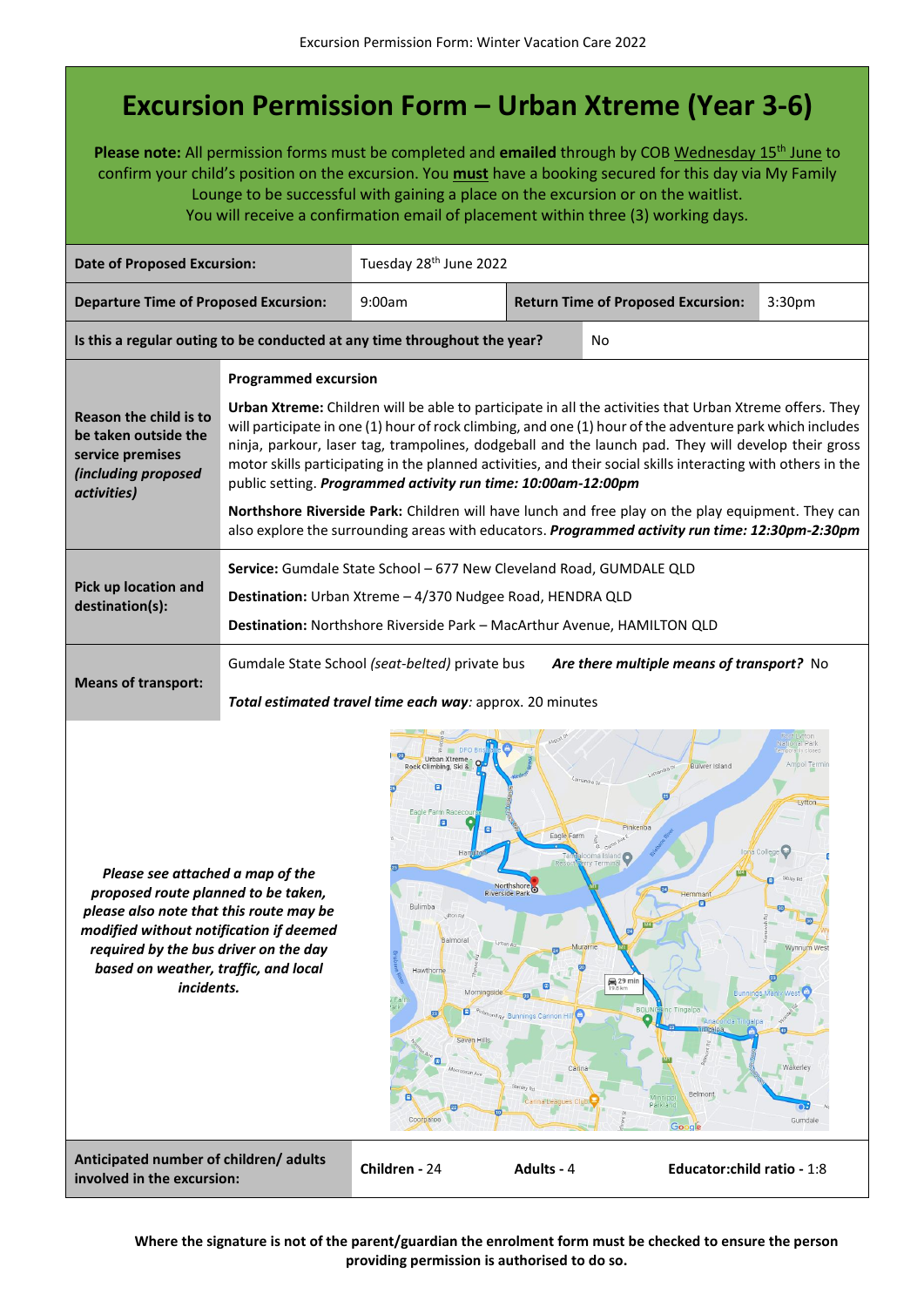## **Excursion Permission Form – Urban Xtreme (Year 3-6)**

**Please note:** All permission forms must be completed and **emailed** through by COB Wednesday 15th June to confirm your child's position on the excursion. You **must** have a booking secured for this day via My Family Lounge to be successful with gaining a place on the excursion or on the waitlist. You will receive a confirmation email of placement within three (3) working days.



**Where the signature is not of the parent/guardian the enrolment form must be checked to ensure the person providing permission is authorised to do so.**